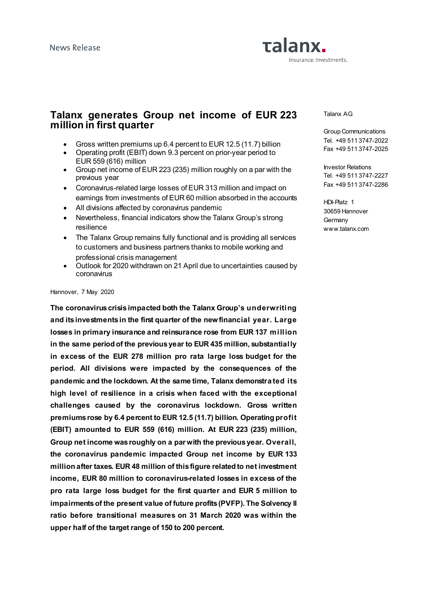# Talanx. Insurance. Investments.

### **Talanx generates Group net income of EUR 223 million in first quarter**

- Gross written premiums up 6.4 percent to EUR 12.5 (11.7) billion
- Operating profit (EBIT) down 9.3 percent on prior-year period to EUR 559 (616) million
- Group net income of EUR 223 (235) million roughly on a par with the previous year
- Coronavirus-related large losses of EUR 313 million and impact on earnings from investments of EUR 60 million absorbed in the accounts
- All divisions affected by coronavirus pandemic
- Nevertheless, financial indicators show the Talanx Group's strong resilience
- The Talanx Group remains fully functional and is providing all services to customers and business partners thanks to mobile working and professional crisis management
- Outlook for 2020 withdrawn on 21 April due to uncertainties caused by coronavirus

#### Hannover, 7 May 2020

**The coronavirus crisis impacted both the Talanx Group's underwriting and its investments in the first quarter of the new financial year. Large losses in primary insurance and reinsurance rose from EUR 137 million in the same period of the previous year to EUR 435 million, substantially in excess of the EUR 278 million pro rata large loss budget for the period. All divisions were impacted by the consequences of the pandemic and the lockdown. At the same time, Talanx demonstrated its high level of resilience in a crisis when faced with the exceptional challenges caused by the coronavirus lockdown. Gross written premiums rose by 6.4 percent to EUR 12.5 (11.7) billion. Operating profit (EBIT) amounted to EUR 559 (616) million. At EUR 223 (235) million, Group net income was roughly on a par with the previous year. Overall, the coronavirus pandemic impacted Group net income by EUR 133 million after taxes. EUR 48 million of this figure related to net investment income, EUR 80 million to coronavirus-related losses in excess of the pro rata large loss budget for the first quarter and EUR 5 million to impairments of the present value of future profits (PVFP). The Solvency II ratio before transitional measures on 31 March 2020 was within the upper half of the target range of 150 to 200 percent.**

Talanx AG

Group Communications Tel. +49 511 3747-2022 Fax +49 511 3747-2025

Investor Relations Tel. +49 511 3747-2227 Fax +49 511 3747-2286

HDI-Platz 1 30659 Hannover **Germany** www.talanx.com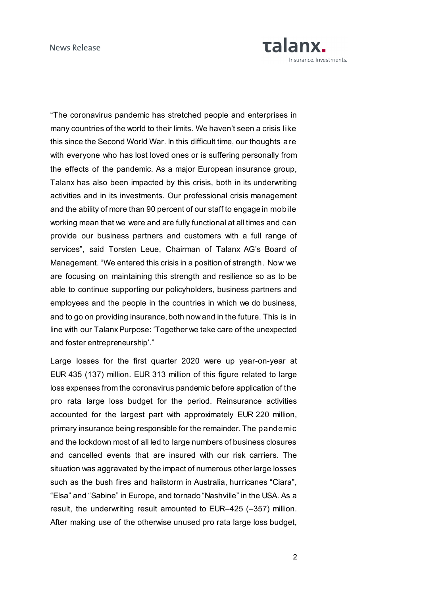

"The coronavirus pandemic has stretched people and enterprises in many countries of the world to their limits. We haven't seen a crisis like this since the Second World War. In this difficult time, our thoughts are with everyone who has lost loved ones or is suffering personally from the effects of the pandemic. As a major European insurance group, Talanx has also been impacted by this crisis, both in its underwriting activities and in its investments. Our professional crisis management and the ability of more than 90 percent of our staff to engage in mobile working mean that we were and are fully functional at all times and can provide our business partners and customers with a full range of services", said Torsten Leue, Chairman of Talanx AG's Board of Management. "We entered this crisis in a position of strength. Now we are focusing on maintaining this strength and resilience so as to be able to continue supporting our policyholders, business partners and employees and the people in the countries in which we do business, and to go on providing insurance, both now and in the future. This is in line with our Talanx Purpose: 'Together we take care of the unexpected and foster entrepreneurship'."

Large losses for the first quarter 2020 were up year-on-year at EUR 435 (137) million. EUR 313 million of this figure related to large loss expenses from the coronavirus pandemic before application of the pro rata large loss budget for the period. Reinsurance activities accounted for the largest part with approximately EUR 220 million, primary insurance being responsible for the remainder. The pandemic and the lockdown most of all led to large numbers of business closures and cancelled events that are insured with our risk carriers. The situation was aggravated by the impact of numerous other large losses such as the bush fires and hailstorm in Australia, hurricanes "Ciara", "Elsa" and "Sabine" in Europe, and tornado "Nashville" in the USA. As a result, the underwriting result amounted to EUR–425 (–357) million. After making use of the otherwise unused pro rata large loss budget,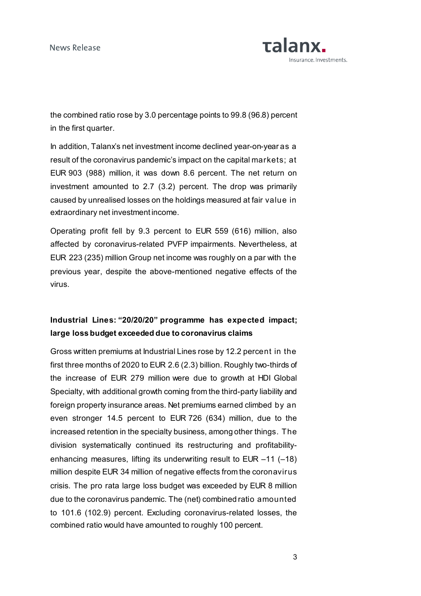News Release



the combined ratio rose by 3.0 percentage points to 99.8 (96.8) percent in the first quarter.

In addition, Talanx's net investment income declined year-on-year as a result of the coronavirus pandemic's impact on the capital markets; at EUR 903 (988) million, it was down 8.6 percent. The net return on investment amounted to 2.7 (3.2) percent. The drop was primarily caused by unrealised losses on the holdings measured at fair value in extraordinary net investment income.

Operating profit fell by 9.3 percent to EUR 559 (616) million, also affected by coronavirus-related PVFP impairments. Nevertheless, at EUR 223 (235) million Group net income was roughly on a par with the previous year, despite the above-mentioned negative effects of the virus.

## **Industrial Lines: "20/20/20" programme has expected impact; large loss budget exceeded due to coronavirus claims**

Gross written premiums at Industrial Lines rose by 12.2 percent in the first three months of 2020 to EUR 2.6 (2.3) billion. Roughly two-thirds of the increase of EUR 279 million were due to growth at HDI Global Specialty, with additional growth coming from the third-party liability and foreign property insurance areas. Net premiums earned climbed by an even stronger 14.5 percent to EUR 726 (634) million, due to the increased retention in the specialty business, among other things. The division systematically continued its restructuring and profitabilityenhancing measures, lifting its underwriting result to EUR –11 (–18) million despite EUR 34 million of negative effects from the coronavirus crisis. The pro rata large loss budget was exceeded by EUR 8 million due to the coronavirus pandemic. The (net) combined ratio amounted to 101.6 (102.9) percent. Excluding coronavirus-related losses, the combined ratio would have amounted to roughly 100 percent.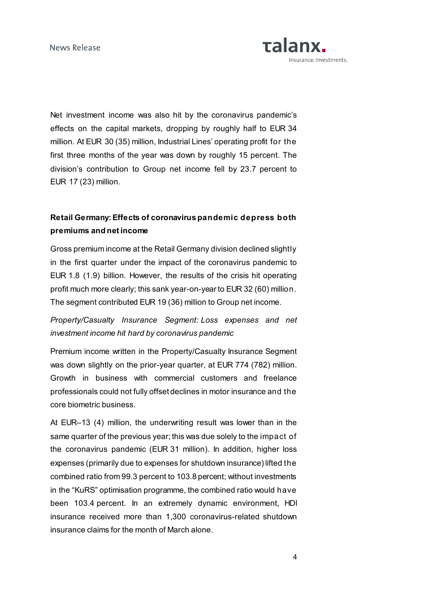News Release



Net investment income was also hit by the coronavirus pandemic's effects on the capital markets, dropping by roughly half to EUR 34 million. At EUR 30 (35) million, Industrial Lines' operating profit for the first three months of the year was down by roughly 15 percent. The division's contribution to Group net income fell by 23.7 percent to EUR 17 (23) million.

## **Retail Germany:Effects of coronavirus pandemic depress both premiums and net income**

Gross premium income at the Retail Germany division declined slightly in the first quarter under the impact of the coronavirus pandemic to EUR 1.8 (1.9) billion. However, the results of the crisis hit operating profit much more clearly; this sank year-on-year to EUR 32 (60) million. The segment contributed EUR 19 (36) million to Group net income.

## *Property/Casualty Insurance Segment: Loss expenses and net investment income hit hard by coronavirus pandemic*

Premium income written in the Property/Casualty Insurance Segment was down slightly on the prior-year quarter, at EUR 774 (782) million. Growth in business with commercial customers and freelance professionals could not fully offset declines in motor insurance and the core biometric business.

At EUR–13 (4) million, the underwriting result was lower than in the same quarter of the previous year; this was due solely to the impact of the coronavirus pandemic (EUR 31 million). In addition, higher loss expenses (primarily due to expenses for shutdown insurance) lifted the combined ratio from 99.3 percent to 103.8 percent; without investments in the "KuRS" optimisation programme, the combined ratio would have been 103.4 percent. In an extremely dynamic environment, HDI insurance received more than 1,300 coronavirus-related shutdown insurance claims for the month of March alone.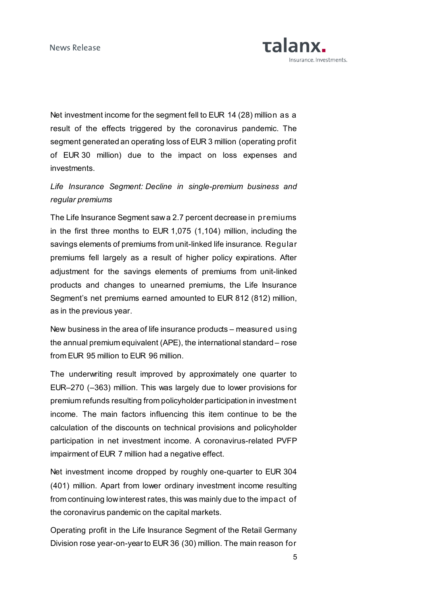

Net investment income for the segment fell to EUR 14 (28) million as a result of the effects triggered by the coronavirus pandemic. The segment generated an operating loss of EUR 3 million (operating profit of EUR 30 million) due to the impact on loss expenses and investments.

## *Life Insurance Segment: Decline in single-premium business and regular premiums*

The Life Insurance Segment saw a 2.7 percent decrease in premiums in the first three months to EUR 1,075 (1,104) million, including the savings elements of premiums from unit-linked life insurance. Regular premiums fell largely as a result of higher policy expirations. After adjustment for the savings elements of premiums from unit-linked products and changes to unearned premiums, the Life Insurance Segment's net premiums earned amounted to EUR 812 (812) million, as in the previous year.

New business in the area of life insurance products – measured using the annual premium equivalent (APE), the international standard – rose from EUR 95 million to EUR 96 million.

The underwriting result improved by approximately one quarter to EUR–270 (–363) million. This was largely due to lower provisions for premium refunds resulting from policyholder participation in investment income. The main factors influencing this item continue to be the calculation of the discounts on technical provisions and policyholder participation in net investment income. A coronavirus-related PVFP impairment of EUR 7 million had a negative effect.

Net investment income dropped by roughly one-quarter to EUR 304 (401) million. Apart from lower ordinary investment income resulting from continuing low interest rates, this was mainly due to the impact of the coronavirus pandemic on the capital markets.

Operating profit in the Life Insurance Segment of the Retail Germany Division rose year-on-year to EUR 36 (30) million. The main reason for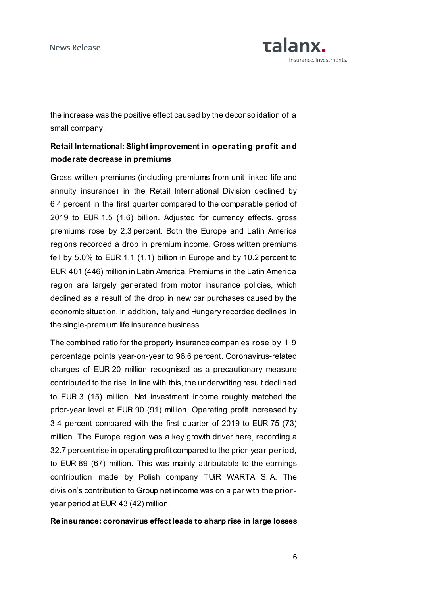

the increase was the positive effect caused by the deconsolidation of a small company.

## **Retail International:Slight improvement in operating profit and moderate decrease in premiums**

Gross written premiums (including premiums from unit-linked life and annuity insurance) in the Retail International Division declined by 6.4 percent in the first quarter compared to the comparable period of 2019 to EUR 1.5 (1.6) billion. Adjusted for currency effects, gross premiums rose by 2.3 percent. Both the Europe and Latin America regions recorded a drop in premium income. Gross written premiums fell by 5.0% to EUR 1.1 (1.1) billion in Europe and by 10.2 percent to EUR 401 (446) million in Latin America. Premiums in the Latin America region are largely generated from motor insurance policies, which declined as a result of the drop in new car purchases caused by the economic situation. In addition, Italy and Hungary recorded declines in the single-premium life insurance business.

The combined ratio for the property insurance companies rose by 1.9 percentage points year-on-year to 96.6 percent. Coronavirus-related charges of EUR 20 million recognised as a precautionary measure contributed to the rise. In line with this, the underwriting result declined to EUR 3 (15) million. Net investment income roughly matched the prior-year level at EUR 90 (91) million. Operating profit increased by 3.4 percent compared with the first quarter of 2019 to EUR 75 (73) million. The Europe region was a key growth driver here, recording a 32.7 percent rise in operating profit compared to the prior-year period, to EUR 89 (67) million. This was mainly attributable to the earnings contribution made by Polish company TUiR WARTA S. A. The division's contribution to Group net income was on a par with the prioryear period at EUR 43 (42) million.

### **Reinsurance: coronavirus effect leads to sharp rise in large losses**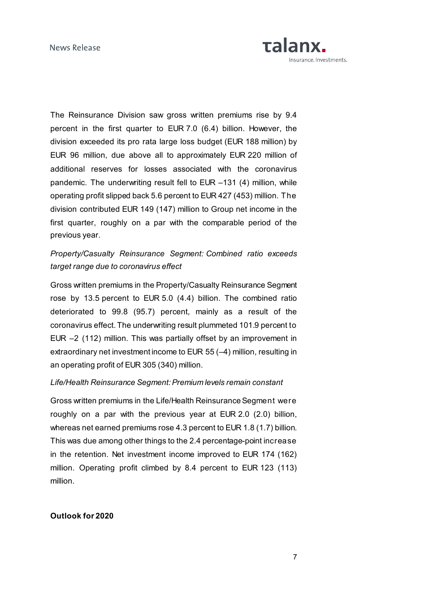

The Reinsurance Division saw gross written premiums rise by 9.4 percent in the first quarter to EUR 7.0 (6.4) billion. However, the division exceeded its pro rata large loss budget (EUR 188 million) by EUR 96 million, due above all to approximately EUR 220 million of additional reserves for losses associated with the coronavirus pandemic. The underwriting result fell to EUR –131 (4) million, while operating profit slipped back 5.6 percent to EUR 427 (453) million. The division contributed EUR 149 (147) million to Group net income in the first quarter, roughly on a par with the comparable period of the previous year.

### *Property/Casualty Reinsurance Segment: Combined ratio exceeds target range due to coronavirus effect*

Gross written premiums in the Property/Casualty Reinsurance Segment rose by 13.5 percent to EUR 5.0 (4.4) billion. The combined ratio deteriorated to 99.8 (95.7) percent, mainly as a result of the coronavirus effect. The underwriting result plummeted 101.9 percent to EUR –2 (112) million. This was partially offset by an improvement in extraordinary net investment income to EUR 55 (–4) million, resulting in an operating profit of EUR 305 (340) million.

### *Life/Health Reinsurance Segment: Premium levels remain constant*

Gross written premiums in the Life/Health Reinsurance Segment were roughly on a par with the previous year at EUR 2.0 (2.0) billion, whereas net earned premiums rose 4.3 percent to EUR 1.8 (1.7) billion. This was due among other things to the 2.4 percentage-point increase in the retention. Net investment income improved to EUR 174 (162) million. Operating profit climbed by 8.4 percent to EUR 123 (113) million.

### **Outlook for 2020**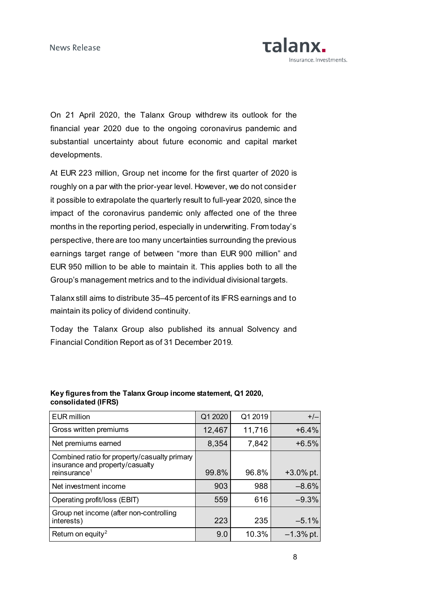

On 21 April 2020, the Talanx Group withdrew its outlook for the financial year 2020 due to the ongoing coronavirus pandemic and substantial uncertainty about future economic and capital market developments.

At EUR 223 million, Group net income for the first quarter of 2020 is roughly on a par with the prior-year level. However, we do not consider it possible to extrapolate the quarterly result to full-year 2020, since the impact of the coronavirus pandemic only affected one of the three months in the reporting period, especially in underwriting. From today's perspective, there are too many uncertainties surrounding the previous earnings target range of between "more than EUR 900 million" and EUR 950 million to be able to maintain it. This applies both to all the Group's management metrics and to the individual divisional targets.

Talanx still aims to distribute 35–45 percent of its IFRS earnings and to maintain its policy of dividend continuity.

Today the Talanx Group also published its annual Solvency and Financial Condition Report as of 31 December 2019.

| <b>EUR</b> million                                                                                          | Q1 2020 | Q1 2019 | $+/-$        |
|-------------------------------------------------------------------------------------------------------------|---------|---------|--------------|
| Gross written premiums                                                                                      | 12,467  | 11,716  | $+6.4%$      |
| Net premiums earned                                                                                         | 8,354   | 7,842   | $+6.5%$      |
| Combined ratio for property/casualty primary<br>insurance and property/casualty<br>reinsurance <sup>1</sup> | 99.8%   | 96.8%   | $+3.0\%$ pt. |
| Net investment income                                                                                       | 903     | 988     | $-8.6%$      |
| Operating profit/loss (EBIT)                                                                                | 559     | 616     | $-9.3%$      |
| Group net income (after non-controlling<br>interests)                                                       | 223     | 235     | $-5.1%$      |
| Return on equity <sup>2</sup>                                                                               | 9.0     | 10.3%   | $-1.3\%$ pt. |

### **Key figures from the Talanx Group income statement, Q1 2020, consolidated (IFRS)**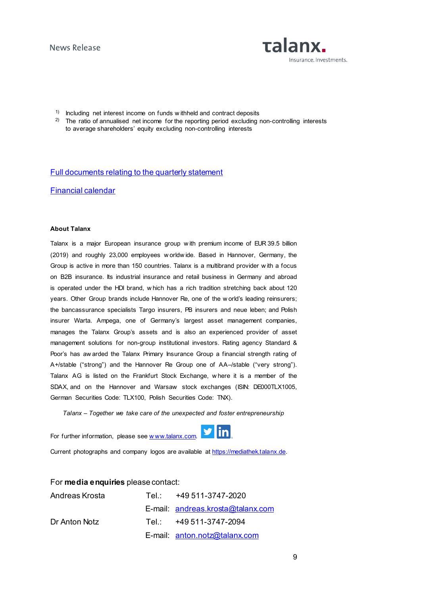

- <sup>1)</sup> Including net interest income on funds w ithheld and contract deposits
- <sup>2)</sup> The ratio of annualised net income for the reporting period excluding non-controlling interests to average shareholders' equity excluding non-controlling interests

#### [Full documents relating to the quarterly statement](https://www.talanx.com/investor-relations/presentations-and-events/disclosure/2020.aspx?sc_lang=en)

#### [Financial calendar](https://www.talanx.com/investor-relations/finanzkalender/termine.aspx?sc_lang=en)

#### **About Talanx**

Talanx is a major European insurance group w ith premium income of EUR 39.5 billion (2019) and roughly 23,000 employees w orldw ide. Based in Hannover, Germany, the Group is active in more than 150 countries. Talanx is a multibrand provider w ith a focus on B2B insurance. Its industrial insurance and retail business in Germany and abroad is operated under the HDI brand, w hich has a rich tradition stretching back about 120 years. Other Group brands include Hannover Re, one of the w orld's leading reinsurers; the bancassurance specialists Targo insurers, PB insurers and neue leben; and Polish insurer Warta. Ampega, one of Germany's largest asset management companies, manages the Talanx Group's assets and is also an experienced provider of asset management solutions for non-group institutional investors. Rating agency Standard & Poor's has aw arded the Talanx Primary Insurance Group a financial strength rating of A+/stable ("strong") and the Hannover Re Group one of AA–/stable ("very strong"). Talanx AG is listed on the Frankfurt Stock Exchange, w here it is a member of the SDAX, and on the Hannover and Warsaw stock exchanges (ISIN: DE000TLX1005, German Securities Code: TLX100, Polish Securities Code: TNX).

*Talanx – Together we take care of the unexpected and foster entrepreneurship*

For further information, please see www.talanx.com.



Current photographs and company logos are available at [https://mediathek.talanx.de.](https://mediathek.talanx.de/)

For **media enquiries** please contact:

| Andreas Krosta | Tel.: +49 511-3747-2020           |
|----------------|-----------------------------------|
|                | E-mail: andreas.krosta@talanx.com |
| Dr Anton Notz  | Tel: +49 511-3747-2094            |
|                | E-mail: anton.notz@talanx.com     |